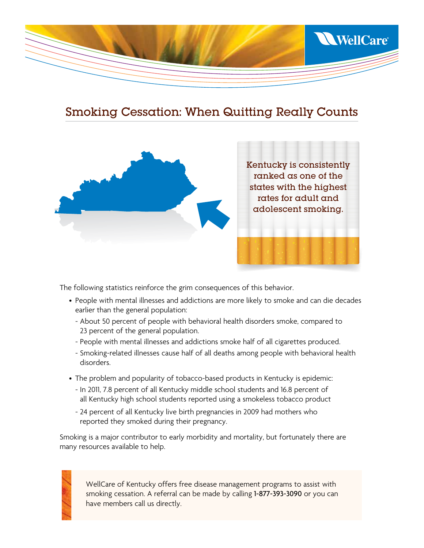

## Smoking Cessation: When Quitting Really Counts



The following statistics reinforce the grim consequences of this behavior.

- People with mental illnesses and addictions are more likely to smoke and can die decades earlier than the general population:
	- About 50 percent of people with behavioral health disorders smoke, compared to 23 percent of the general population.
	- People with mental illnesses and addictions smoke half of all cigarettes produced.
	- Smoking-related illnesses cause half of all deaths among people with behavioral health disorders.
- The problem and popularity of tobacco-based products in Kentucky is epidemic:
	- In 2011, 7.8 percent of all Kentucky middle school students and 16.8 percent of all Kentucky high school students reported using a smokeless tobacco product
	- 24 percent of all Kentucky live birth pregnancies in 2009 had mothers who reported they smoked during their pregnancy.

Smoking is a major contributor to early morbidity and mortality, but fortunately there are many resources available to help.



WellCare of Kentucky offers free disease management programs to assist with smoking cessation. A referral can be made by calling 1-877-393-3090 or you can have members call us directly.